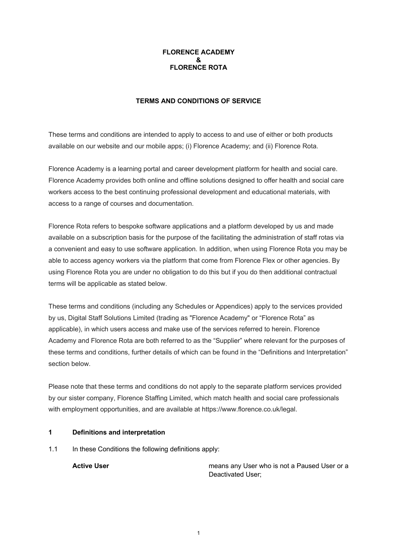# **FLORENCE ACADEMY & FLORENCE ROTA**

# **TERMS AND CONDITIONS OF SERVICE**

These terms and conditions are intended to apply to access to and use of either or both products available on our website and our mobile apps; (i) Florence Academy; and (ii) Florence Rota.

Florence Academy is a learning portal and career development platform for health and social care. Florence Academy provides both online and offline solutions designed to offer health and social care workers access to the best continuing professional development and educational materials, with access to a range of courses and documentation.

Florence Rota refers to bespoke software applications and a platform developed by us and made available on a subscription basis for the purpose of the facilitating the administration of staff rotas via a convenient and easy to use software application. In addition, when using Florence Rota you may be able to access agency workers via the platform that come from Florence Flex or other agencies. By using Florence Rota you are under no obligation to do this but if you do then additional contractual terms will be applicable as stated below.

These terms and conditions (including any Schedules or Appendices) apply to the services provided by us, Digital Staff Solutions Limited (trading as "Florence Academy" or "Florence Rota" as applicable), in which users access and make use of the services referred to herein. Florence Academy and Florence Rota are both referred to as the "Supplier" where relevant for the purposes of these terms and conditions, further details of which can be found in the "Definitions and Interpretation" section below.

Please note that these terms and conditions do not apply to the separate platform services provided by our sister company, Florence Staffing Limited, which match health and social care professionals with employment opportunities, and are available at https://www.florence.co.uk/legal.

# **1 Definitions and interpretation**

1.1 In these Conditions the following definitions apply:

**Active User Mathem Active User** means any User who is not a Paused User or a Deactivated User;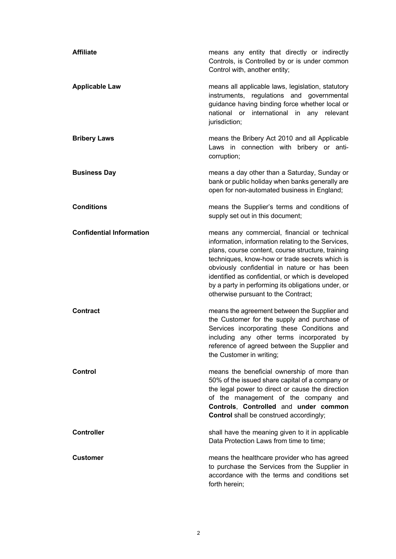| <b>Affiliate</b>                | means any entity that directly or indirectly<br>Controls, is Controlled by or is under common<br>Control with, another entity;                                                                                                                                                                                                                                                                              |
|---------------------------------|-------------------------------------------------------------------------------------------------------------------------------------------------------------------------------------------------------------------------------------------------------------------------------------------------------------------------------------------------------------------------------------------------------------|
| <b>Applicable Law</b>           | means all applicable laws, legislation, statutory<br>instruments, regulations and governmental<br>guidance having binding force whether local or<br>national or<br>international in any relevant<br>jurisdiction;                                                                                                                                                                                           |
| <b>Bribery Laws</b>             | means the Bribery Act 2010 and all Applicable<br>Laws in connection with bribery or anti-<br>corruption;                                                                                                                                                                                                                                                                                                    |
| <b>Business Day</b>             | means a day other than a Saturday, Sunday or<br>bank or public holiday when banks generally are<br>open for non-automated business in England;                                                                                                                                                                                                                                                              |
| <b>Conditions</b>               | means the Supplier's terms and conditions of<br>supply set out in this document;                                                                                                                                                                                                                                                                                                                            |
| <b>Confidential Information</b> | means any commercial, financial or technical<br>information, information relating to the Services,<br>plans, course content, course structure, training<br>techniques, know-how or trade secrets which is<br>obviously confidential in nature or has been<br>identified as confidential, or which is developed<br>by a party in performing its obligations under, or<br>otherwise pursuant to the Contract; |
| <b>Contract</b>                 | means the agreement between the Supplier and<br>the Customer for the supply and purchase of<br>Services incorporating these Conditions and<br>including any other terms incorporated by<br>reference of agreed between the Supplier and<br>the Customer in writing;                                                                                                                                         |
| Control                         | means the beneficial ownership of more than<br>50% of the issued share capital of a company or<br>the legal power to direct or cause the direction<br>of the management of the company and<br>Controls, Controlled and under common<br>Control shall be construed accordingly;                                                                                                                              |
| <b>Controller</b>               | shall have the meaning given to it in applicable<br>Data Protection Laws from time to time;                                                                                                                                                                                                                                                                                                                 |
| <b>Customer</b>                 | means the healthcare provider who has agreed<br>to purchase the Services from the Supplier in<br>accordance with the terms and conditions set<br>forth herein;                                                                                                                                                                                                                                              |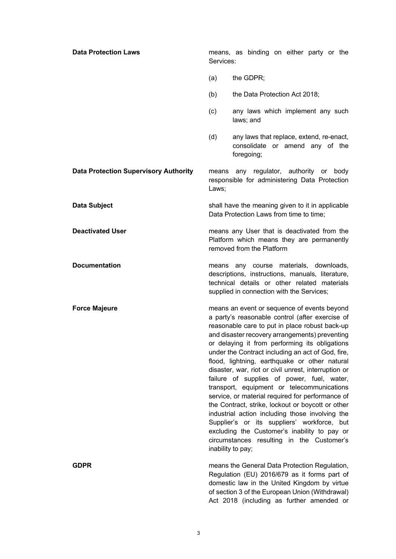| <b>Data Protection Laws</b>                  | means, as binding on either party or the<br>Services:                                                                                                                                                                                                                                                                                                                                                                                                                                                                                                                                                                                                                                                                                                                                                                                       |
|----------------------------------------------|---------------------------------------------------------------------------------------------------------------------------------------------------------------------------------------------------------------------------------------------------------------------------------------------------------------------------------------------------------------------------------------------------------------------------------------------------------------------------------------------------------------------------------------------------------------------------------------------------------------------------------------------------------------------------------------------------------------------------------------------------------------------------------------------------------------------------------------------|
|                                              | the GDPR;<br>(a)                                                                                                                                                                                                                                                                                                                                                                                                                                                                                                                                                                                                                                                                                                                                                                                                                            |
|                                              | (b)<br>the Data Protection Act 2018;                                                                                                                                                                                                                                                                                                                                                                                                                                                                                                                                                                                                                                                                                                                                                                                                        |
|                                              | (c)<br>any laws which implement any such<br>laws; and                                                                                                                                                                                                                                                                                                                                                                                                                                                                                                                                                                                                                                                                                                                                                                                       |
|                                              | any laws that replace, extend, re-enact,<br>(d)<br>consolidate or amend any of the<br>foregoing;                                                                                                                                                                                                                                                                                                                                                                                                                                                                                                                                                                                                                                                                                                                                            |
| <b>Data Protection Supervisory Authority</b> | any regulator, authority or body<br>means<br>responsible for administering Data Protection<br>Laws;                                                                                                                                                                                                                                                                                                                                                                                                                                                                                                                                                                                                                                                                                                                                         |
| Data Subject                                 | shall have the meaning given to it in applicable<br>Data Protection Laws from time to time;                                                                                                                                                                                                                                                                                                                                                                                                                                                                                                                                                                                                                                                                                                                                                 |
| <b>Deactivated User</b>                      | means any User that is deactivated from the<br>Platform which means they are permanently<br>removed from the Platform                                                                                                                                                                                                                                                                                                                                                                                                                                                                                                                                                                                                                                                                                                                       |
| <b>Documentation</b>                         | means any course materials, downloads,<br>descriptions, instructions, manuals, literature,<br>technical details or other related materials<br>supplied in connection with the Services;                                                                                                                                                                                                                                                                                                                                                                                                                                                                                                                                                                                                                                                     |
| <b>Force Majeure</b>                         | means an event or sequence of events beyond<br>a party's reasonable control (after exercise of<br>reasonable care to put in place robust back-up<br>and disaster recovery arrangements) preventing<br>or delaying it from performing its obligations<br>under the Contract including an act of God, fire,<br>flood, lightning, earthquake or other natural<br>disaster, war, riot or civil unrest, interruption or<br>failure of supplies of power, fuel, water,<br>transport, equipment or telecommunications<br>service, or material required for performance of<br>the Contract, strike, lockout or boycott or other<br>industrial action including those involving the<br>Supplier's or its suppliers' workforce, but<br>excluding the Customer's inability to pay or<br>circumstances resulting in the Customer's<br>inability to pay; |
| <b>GDPR</b>                                  | means the General Data Protection Regulation,<br>Regulation (EU) 2016/679 as it forms part of<br>domestic law in the United Kingdom by virtue<br>of section 3 of the European Union (Withdrawal)<br>Act 2018 (including as further amended or                                                                                                                                                                                                                                                                                                                                                                                                                                                                                                                                                                                               |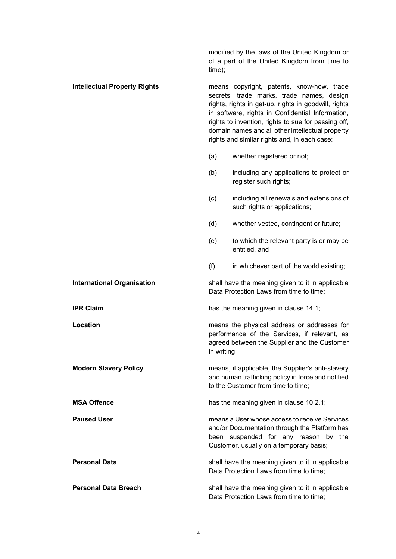modified by the laws of the United Kingdom or of a part of the United Kingdom from time to time); **Intellectual Property Rights** means copyright, patents, know-how, trade secrets, trade marks, trade names, design rights, rights in get-up, rights in goodwill, rights in software, rights in Confidential Information, rights to invention, rights to sue for passing off, domain names and all other intellectual property rights and similar rights and, in each case: (a) whether registered or not; (b) including any applications to protect or register such rights; (c) including all renewals and extensions of such rights or applications; (d) whether vested, contingent or future; (e) to which the relevant party is or may be entitled, and (f) in whichever part of the world existing; **International Organisation** shall have the meaning given to it in applicable Data Protection Laws from time to time; **IPR Claim IPR Claim** has the meaning given in clause 14.1; **Location Example 2 Conserverse in the physical address or addresses for** performance of the Services, if relevant, as agreed between the Supplier and the Customer in writing; **Modern Slavery Policy Modern Slavery Policy** means, if applicable, the Supplier's anti-slavery and human trafficking policy in force and notified to the Customer from time to time; **MSA Offence has the meaning given in clause 10.2.1;** has the meaning given in clause 10.2.1; **Paused User** means a User whose access to receive Services and/or Documentation through the Platform has been suspended for any reason by the Customer, usually on a temporary basis; **Personal Data** Shall have the meaning given to it in applicable Data Protection Laws from time to time; **Personal Data Breach** shall have the meaning given to it in applicable

Data Protection Laws from time to time;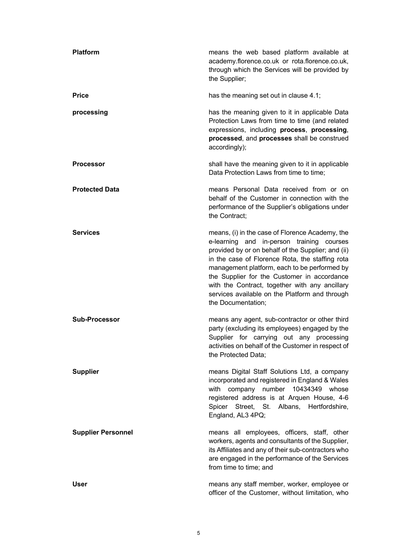| <b>Platform</b>           | means the web based platform available at<br>academy.florence.co.uk or rota.florence.co.uk,<br>through which the Services will be provided by<br>the Supplier;                                                                                                                                                                                                                                                                 |
|---------------------------|--------------------------------------------------------------------------------------------------------------------------------------------------------------------------------------------------------------------------------------------------------------------------------------------------------------------------------------------------------------------------------------------------------------------------------|
| <b>Price</b>              | has the meaning set out in clause 4.1;                                                                                                                                                                                                                                                                                                                                                                                         |
| processing                | has the meaning given to it in applicable Data<br>Protection Laws from time to time (and related<br>expressions, including process, processing,<br>processed, and processes shall be construed<br>accordingly);                                                                                                                                                                                                                |
| <b>Processor</b>          | shall have the meaning given to it in applicable<br>Data Protection Laws from time to time;                                                                                                                                                                                                                                                                                                                                    |
| <b>Protected Data</b>     | means Personal Data received from or on<br>behalf of the Customer in connection with the<br>performance of the Supplier's obligations under<br>the Contract;                                                                                                                                                                                                                                                                   |
| <b>Services</b>           | means, (i) in the case of Florence Academy, the<br>e-learning and in-person training courses<br>provided by or on behalf of the Supplier; and (ii)<br>in the case of Florence Rota, the staffing rota<br>management platform, each to be performed by<br>the Supplier for the Customer in accordance<br>with the Contract, together with any ancillary<br>services available on the Platform and through<br>the Documentation; |
| <b>Sub-Processor</b>      | means any agent, sub-contractor or other third<br>party (excluding its employees) engaged by the<br>Supplier for carrying out any processing<br>activities on behalf of the Customer in respect of<br>the Protected Data;                                                                                                                                                                                                      |
| <b>Supplier</b>           | means Digital Staff Solutions Ltd, a company<br>incorporated and registered in England & Wales<br>with company number 10434349 whose<br>registered address is at Arquen House, 4-6<br>Spicer Street, St. Albans, Hertfordshire,<br>England, AL3 4PQ;                                                                                                                                                                           |
| <b>Supplier Personnel</b> | means all employees, officers, staff, other<br>workers, agents and consultants of the Supplier,<br>its Affiliates and any of their sub-contractors who<br>are engaged in the performance of the Services<br>from time to time; and                                                                                                                                                                                             |
| <b>User</b>               | means any staff member, worker, employee or<br>officer of the Customer, without limitation, who                                                                                                                                                                                                                                                                                                                                |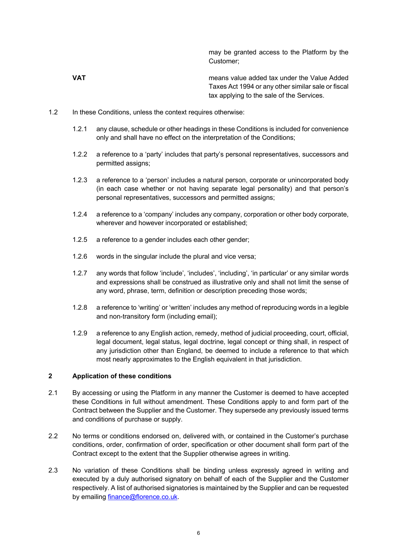may be granted access to the Platform by the Customer;

**VAT** means value added tax under the Value Added Taxes Act 1994 or any other similar sale or fiscal tax applying to the sale of the Services.

- 1.2 In these Conditions, unless the context requires otherwise:
	- 1.2.1 any clause, schedule or other headings in these Conditions is included for convenience only and shall have no effect on the interpretation of the Conditions;
	- 1.2.2 a reference to a 'party' includes that party's personal representatives, successors and permitted assigns;
	- 1.2.3 a reference to a 'person' includes a natural person, corporate or unincorporated body (in each case whether or not having separate legal personality) and that person's personal representatives, successors and permitted assigns;
	- 1.2.4 a reference to a 'company' includes any company, corporation or other body corporate, wherever and however incorporated or established;
	- 1.2.5 a reference to a gender includes each other gender;
	- 1.2.6 words in the singular include the plural and vice versa;
	- 1.2.7 any words that follow 'include', 'includes', 'including', 'in particular' or any similar words and expressions shall be construed as illustrative only and shall not limit the sense of any word, phrase, term, definition or description preceding those words;
	- 1.2.8 a reference to 'writing' or 'written' includes any method of reproducing words in a legible and non-transitory form (including email);
	- 1.2.9 a reference to any English action, remedy, method of judicial proceeding, court, official, legal document, legal status, legal doctrine, legal concept or thing shall, in respect of any jurisdiction other than England, be deemed to include a reference to that which most nearly approximates to the English equivalent in that jurisdiction.

# **2 Application of these conditions**

- 2.1 By accessing or using the Platform in any manner the Customer is deemed to have accepted these Conditions in full without amendment. These Conditions apply to and form part of the Contract between the Supplier and the Customer. They supersede any previously issued terms and conditions of purchase or supply.
- 2.2 No terms or conditions endorsed on, delivered with, or contained in the Customer's purchase conditions, order, confirmation of order, specification or other document shall form part of the Contract except to the extent that the Supplier otherwise agrees in writing.
- 2.3 No variation of these Conditions shall be binding unless expressly agreed in writing and executed by a duly authorised signatory on behalf of each of the Supplier and the Customer respectively. A list of authorised signatories is maintained by the Supplier and can be requested by emailing **finance@florence.co.uk.**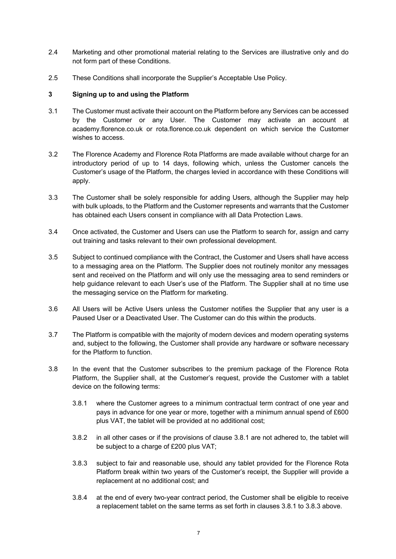- 2.4 Marketing and other promotional material relating to the Services are illustrative only and do not form part of these Conditions.
- 2.5 These Conditions shall incorporate the Supplier's Acceptable Use Policy.

# **3 Signing up to and using the Platform**

- 3.1 The Customer must activate their account on the Platform before any Services can be accessed by the Customer or any User. The Customer may activate an account at academy.florence.co.uk or rota.florence.co.uk dependent on which service the Customer wishes to access.
- 3.2 The Florence Academy and Florence Rota Platforms are made available without charge for an introductory period of up to 14 days, following which, unless the Customer cancels the Customer's usage of the Platform, the charges levied in accordance with these Conditions will apply.
- 3.3 The Customer shall be solely responsible for adding Users, although the Supplier may help with bulk uploads, to the Platform and the Customer represents and warrants that the Customer has obtained each Users consent in compliance with all Data Protection Laws.
- 3.4 Once activated, the Customer and Users can use the Platform to search for, assign and carry out training and tasks relevant to their own professional development.
- 3.5 Subject to continued compliance with the Contract, the Customer and Users shall have access to a messaging area on the Platform. The Supplier does not routinely monitor any messages sent and received on the Platform and will only use the messaging area to send reminders or help guidance relevant to each User's use of the Platform. The Supplier shall at no time use the messaging service on the Platform for marketing.
- 3.6 All Users will be Active Users unless the Customer notifies the Supplier that any user is a Paused User or a Deactivated User. The Customer can do this within the products.
- 3.7 The Platform is compatible with the majority of modern devices and modern operating systems and, subject to the following, the Customer shall provide any hardware or software necessary for the Platform to function.
- 3.8 In the event that the Customer subscribes to the premium package of the Florence Rota Platform, the Supplier shall, at the Customer's request, provide the Customer with a tablet device on the following terms:
	- 3.8.1 where the Customer agrees to a minimum contractual term contract of one year and pays in advance for one year or more, together with a minimum annual spend of £600 plus VAT, the tablet will be provided at no additional cost;
	- 3.8.2 in all other cases or if the provisions of clause 3.8.1 are not adhered to, the tablet will be subject to a charge of £200 plus VAT;
	- 3.8.3 subject to fair and reasonable use, should any tablet provided for the Florence Rota Platform break within two years of the Customer's receipt, the Supplier will provide a replacement at no additional cost; and
	- 3.8.4 at the end of every two-year contract period, the Customer shall be eligible to receive a replacement tablet on the same terms as set forth in clauses 3.8.1 to 3.8.3 above.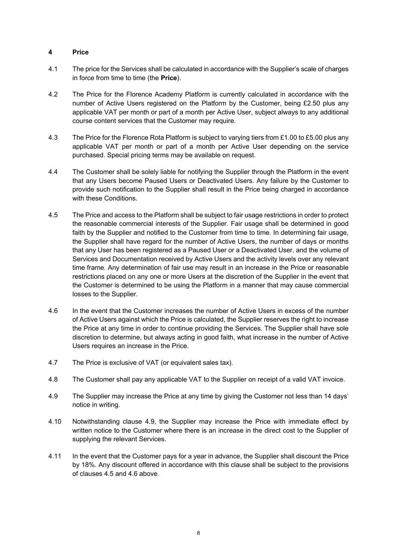# **4 Price**

- 4.1 The price for the Services shall be calculated in accordance with the Supplier's scale of charges in force from time to time (the **Price**).
- 4.2 The Price for the Florence Academy Platform is currently calculated in accordance with the number of Active Users registered on the Platform by the Customer, being £2.50 plus any applicable VAT per month or part of a month per Active User, subject always to any additional course content services that the Customer may require.
- 4.3 The Price for the Florence Rota Platform is subject to varying tiers from £1.00 to £5.00 plus any applicable VAT per month or part of a month per Active User depending on the service purchased. Special pricing terms may be available on request.
- 4.4 The Customer shall be solely liable for notifying the Supplier through the Platform in the event that any Users become Paused Users or Deactivated Users. Any failure by the Customer to provide such notification to the Supplier shall result in the Price being charged in accordance with these Conditions.
- 4.5 The Price and access to the Platform shall be subject to fair usage restrictions in order to protect the reasonable commercial interests of the Supplier. Fair usage shall be determined in good faith by the Supplier and notified to the Customer from time to time. In determining fair usage, the Supplier shall have regard for the number of Active Users, the number of days or months that any User has been registered as a Paused User or a Deactivated User, and the volume of Services and Documentation received by Active Users and the activity levels over any relevant time frame. Any determination of fair use may result in an increase in the Price or reasonable restrictions placed on any one or more Users at the discretion of the Supplier in the event that the Customer is determined to be using the Platform in a manner that may cause commercial losses to the Supplier.
- 4.6 In the event that the Customer increases the number of Active Users in excess of the number of Active Users against which the Price is calculated, the Supplier reserves the right to increase the Price at any time in order to continue providing the Services. The Supplier shall have sole discretion to determine, but always acting in good faith, what increase in the number of Active Users requires an increase in the Price.
- 4.7 The Price is exclusive of VAT (or equivalent sales tax).
- 4.8 The Customer shall pay any applicable VAT to the Supplier on receipt of a valid VAT invoice.
- 4.9 The Supplier may increase the Price at any time by giving the Customer not less than 14 days' notice in writing.
- 4.10 Notwithstanding clause 4.9, the Supplier may increase the Price with immediate effect by written notice to the Customer where there is an increase in the direct cost to the Supplier of supplying the relevant Services.
- 4.11 In the event that the Customer pays for a year in advance, the Supplier shall discount the Price by 18%. Any discount offered in accordance with this clause shall be subject to the provisions of clauses 4.5 and 4.6 above.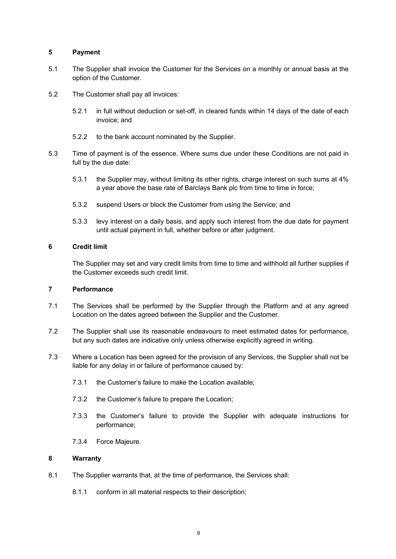### **5 Payment**

- 5.1 The Supplier shall invoice the Customer for the Services on a monthly or annual basis at the option of the Customer.
- 5.2 The Customer shall pay all invoices:
	- 5.2.1 in full without deduction or set-off, in cleared funds within 14 days of the date of each invoice; and
	- 5.2.2 to the bank account nominated by the Supplier.
- 5.3 Time of payment is of the essence. Where sums due under these Conditions are not paid in full by the due date:
	- 5.3.1 the Supplier may, without limiting its other rights, charge interest on such sums at 4% a year above the base rate of Barclays Bank plc from time to time in force;
	- 5.3.2 suspend Users or block the Customer from using the Service; and
	- 5.3.3 levy interest on a daily basis, and apply such interest from the due date for payment until actual payment in full, whether before or after judgment.

### **6 Credit limit**

The Supplier may set and vary credit limits from time to time and withhold all further supplies if the Customer exceeds such credit limit.

# **7 Performance**

- 7.1 The Services shall be performed by the Supplier through the Platform and at any agreed Location on the dates agreed between the Supplier and the Customer.
- 7.2 The Supplier shall use its reasonable endeavours to meet estimated dates for performance, but any such dates are indicative only unless otherwise explicitly agreed in writing.
- 7.3 Where a Location has been agreed for the provision of any Services, the Supplier shall not be liable for any delay in or failure of performance caused by:
	- 7.3.1 the Customer's failure to make the Location available;
	- 7.3.2 the Customer's failure to prepare the Location;
	- 7.3.3 the Customer's failure to provide the Supplier with adequate instructions for performance;
	- 7.3.4 Force Majeure.

# **8 Warranty**

- 8.1 The Supplier warrants that, at the time of performance, the Services shall:
	- 8.1.1 conform in all material respects to their description;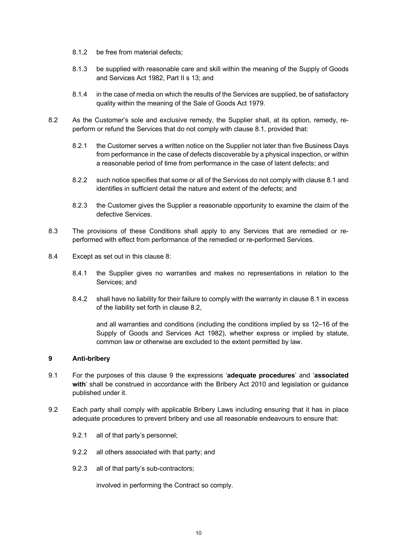- 8.1.2 be free from material defects;
- 8.1.3 be supplied with reasonable care and skill within the meaning of the Supply of Goods and Services Act 1982, Part II s 13; and
- 8.1.4 in the case of media on which the results of the Services are supplied, be of satisfactory quality within the meaning of the Sale of Goods Act 1979.
- 8.2 As the Customer's sole and exclusive remedy, the Supplier shall, at its option, remedy, reperform or refund the Services that do not comply with clause 8.1, provided that:
	- 8.2.1 the Customer serves a written notice on the Supplier not later than five Business Days from performance in the case of defects discoverable by a physical inspection, or within a reasonable period of time from performance in the case of latent defects; and
	- 8.2.2 such notice specifies that some or all of the Services do not comply with clause 8.1 and identifies in sufficient detail the nature and extent of the defects; and
	- 8.2.3 the Customer gives the Supplier a reasonable opportunity to examine the claim of the defective Services.
- 8.3 The provisions of these Conditions shall apply to any Services that are remedied or reperformed with effect from performance of the remedied or re-performed Services.
- 8.4 Except as set out in this clause 8:
	- 8.4.1 the Supplier gives no warranties and makes no representations in relation to the Services; and
	- 8.4.2 shall have no liability for their failure to comply with the warranty in clause 8.1 in excess of the liability set forth in clause 8.2,

and all warranties and conditions (including the conditions implied by ss 12–16 of the Supply of Goods and Services Act 1982), whether express or implied by statute, common law or otherwise are excluded to the extent permitted by law.

# **9 Anti-bribery**

- 9.1 For the purposes of this clause 9 the expressions '**adequate procedures**' and '**associated with**' shall be construed in accordance with the Bribery Act 2010 and legislation or guidance published under it.
- 9.2 Each party shall comply with applicable Bribery Laws including ensuring that it has in place adequate procedures to prevent bribery and use all reasonable endeavours to ensure that:
	- 9.2.1 all of that party's personnel;
	- 9.2.2 all others associated with that party; and
	- 9.2.3 all of that party's sub-contractors;

involved in performing the Contract so comply.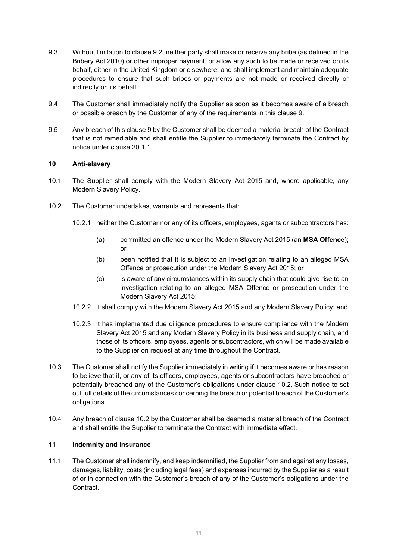- 9.3 Without limitation to clause 9.2, neither party shall make or receive any bribe (as defined in the Bribery Act 2010) or other improper payment, or allow any such to be made or received on its behalf, either in the United Kingdom or elsewhere, and shall implement and maintain adequate procedures to ensure that such bribes or payments are not made or received directly or indirectly on its behalf.
- 9.4 The Customer shall immediately notify the Supplier as soon as it becomes aware of a breach or possible breach by the Customer of any of the requirements in this clause 9.
- 9.5 Any breach of this clause 9 by the Customer shall be deemed a material breach of the Contract that is not remediable and shall entitle the Supplier to immediately terminate the Contract by notice under clause 20.1.1.

# **10 Anti-slavery**

- 10.1 The Supplier shall comply with the Modern Slavery Act 2015 and, where applicable, any Modern Slavery Policy.
- 10.2 The Customer undertakes, warrants and represents that:
	- 10.2.1 neither the Customer nor any of its officers, employees, agents or subcontractors has:
		- (a) committed an offence under the Modern Slavery Act 2015 (an **MSA Offence**); or
		- (b) been notified that it is subject to an investigation relating to an alleged MSA Offence or prosecution under the Modern Slavery Act 2015; or
		- (c) is aware of any circumstances within its supply chain that could give rise to an investigation relating to an alleged MSA Offence or prosecution under the Modern Slavery Act 2015;
	- 10.2.2 it shall comply with the Modern Slavery Act 2015 and any Modern Slavery Policy; and
	- 10.2.3 it has implemented due diligence procedures to ensure compliance with the Modern Slavery Act 2015 and any Modern Slavery Policy in its business and supply chain, and those of its officers, employees, agents or subcontractors, which will be made available to the Supplier on request at any time throughout the Contract.
- 10.3 The Customer shall notify the Supplier immediately in writing if it becomes aware or has reason to believe that it, or any of its officers, employees, agents or subcontractors have breached or potentially breached any of the Customer's obligations under clause 10.2. Such notice to set out full details of the circumstances concerning the breach or potential breach of the Customer's obligations.
- 10.4 Any breach of clause 10.2 by the Customer shall be deemed a material breach of the Contract and shall entitle the Supplier to terminate the Contract with immediate effect.

# **11 Indemnity and insurance**

11.1 The Customer shall indemnify, and keep indemnified, the Supplier from and against any losses, damages, liability, costs (including legal fees) and expenses incurred by the Supplier as a result of or in connection with the Customer's breach of any of the Customer's obligations under the Contract.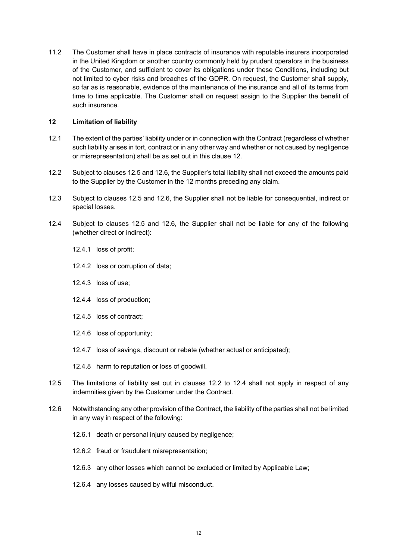11.2 The Customer shall have in place contracts of insurance with reputable insurers incorporated in the United Kingdom or another country commonly held by prudent operators in the business of the Customer, and sufficient to cover its obligations under these Conditions, including but not limited to cyber risks and breaches of the GDPR. On request, the Customer shall supply, so far as is reasonable, evidence of the maintenance of the insurance and all of its terms from time to time applicable. The Customer shall on request assign to the Supplier the benefit of such insurance.

### **12 Limitation of liability**

- 12.1 The extent of the parties' liability under or in connection with the Contract (regardless of whether such liability arises in tort, contract or in any other way and whether or not caused by negligence or misrepresentation) shall be as set out in this clause 12.
- 12.2 Subject to clauses 12.5 and 12.6, the Supplier's total liability shall not exceed the amounts paid to the Supplier by the Customer in the 12 months preceding any claim.
- 12.3 Subject to clauses 12.5 and 12.6, the Supplier shall not be liable for consequential, indirect or special losses.
- 12.4 Subject to clauses 12.5 and 12.6, the Supplier shall not be liable for any of the following (whether direct or indirect):
	- 12.4.1 loss of profit;
	- 12.4.2 loss or corruption of data;
	- 12.4.3 loss of use;
	- 12.4.4 loss of production;
	- 12.4.5 loss of contract;
	- 12.4.6 loss of opportunity;
	- 12.4.7 loss of savings, discount or rebate (whether actual or anticipated);
	- 12.4.8 harm to reputation or loss of goodwill.
- 12.5 The limitations of liability set out in clauses 12.2 to 12.4 shall not apply in respect of any indemnities given by the Customer under the Contract.
- 12.6 Notwithstanding any other provision of the Contract, the liability of the parties shall not be limited in any way in respect of the following:
	- 12.6.1 death or personal injury caused by negligence;
	- 12.6.2 fraud or fraudulent misrepresentation;
	- 12.6.3 any other losses which cannot be excluded or limited by Applicable Law;
	- 12.6.4 any losses caused by wilful misconduct.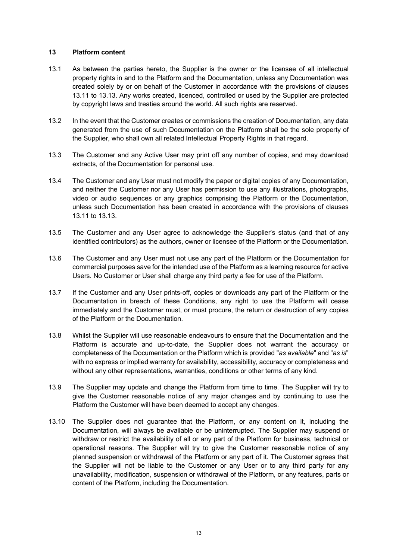### **13 Platform content**

- 13.1 As between the parties hereto, the Supplier is the owner or the licensee of all intellectual property rights in and to the Platform and the Documentation, unless any Documentation was created solely by or on behalf of the Customer in accordance with the provisions of clauses 13.11 to 13.13. Any works created, licenced, controlled or used by the Supplier are protected by copyright laws and treaties around the world. All such rights are reserved.
- 13.2 In the event that the Customer creates or commissions the creation of Documentation, any data generated from the use of such Documentation on the Platform shall be the sole property of the Supplier, who shall own all related Intellectual Property Rights in that regard.
- 13.3 The Customer and any Active User may print off any number of copies, and may download extracts, of the Documentation for personal use.
- 13.4 The Customer and any User must not modify the paper or digital copies of any Documentation, and neither the Customer nor any User has permission to use any illustrations, photographs, video or audio sequences or any graphics comprising the Platform or the Documentation, unless such Documentation has been created in accordance with the provisions of clauses 13.11 to 13.13.
- 13.5 The Customer and any User agree to acknowledge the Supplier's status (and that of any identified contributors) as the authors, owner or licensee of the Platform or the Documentation.
- 13.6 The Customer and any User must not use any part of the Platform or the Documentation for commercial purposes save for the intended use of the Platform as a learning resource for active Users. No Customer or User shall charge any third party a fee for use of the Platform.
- 13.7 If the Customer and any User prints-off, copies or downloads any part of the Platform or the Documentation in breach of these Conditions, any right to use the Platform will cease immediately and the Customer must, or must procure, the return or destruction of any copies of the Platform or the Documentation.
- 13.8 Whilst the Supplier will use reasonable endeavours to ensure that the Documentation and the Platform is accurate and up-to-date, the Supplier does not warrant the accuracy or completeness of the Documentation or the Platform which is provided "*as available*" and "*as is*" with no express or implied warranty for availability, accessibility, accuracy or completeness and without any other representations, warranties, conditions or other terms of any kind.
- 13.9 The Supplier may update and change the Platform from time to time. The Supplier will try to give the Customer reasonable notice of any major changes and by continuing to use the Platform the Customer will have been deemed to accept any changes.
- 13.10 The Supplier does not guarantee that the Platform, or any content on it, including the Documentation, will always be available or be uninterrupted. The Supplier may suspend or withdraw or restrict the availability of all or any part of the Platform for business, technical or operational reasons. The Supplier will try to give the Customer reasonable notice of any planned suspension or withdrawal of the Platform or any part of it. The Customer agrees that the Supplier will not be liable to the Customer or any User or to any third party for any unavailability, modification, suspension or withdrawal of the Platform, or any features, parts or content of the Platform, including the Documentation.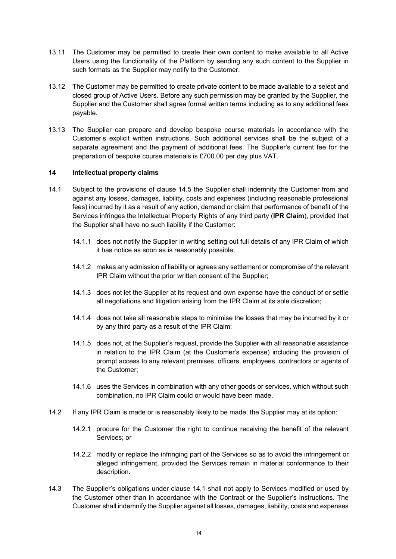- 13.11 The Customer may be permitted to create their own content to make available to all Active Users using the functionality of the Platform by sending any such content to the Supplier in such formats as the Supplier may notify to the Customer.
- 13.12 The Customer may be permitted to create private content to be made available to a select and closed group of Active Users. Before any such permission may be granted by the Supplier, the Supplier and the Customer shall agree formal written terms including as to any additional fees payable.
- 13.13 The Supplier can prepare and develop bespoke course materials in accordance with the Customer's explicit written instructions. Such additional services shall be the subject of a separate agreement and the payment of additional fees. The Supplier's current fee for the preparation of bespoke course materials is £700.00 per day plus VAT.

# **14 Intellectual property claims**

- 14.1 Subject to the provisions of clause 14.5 the Supplier shall indemnify the Customer from and against any losses, damages, liability, costs and expenses (including reasonable professional fees) incurred by it as a result of any action, demand or claim that performance of benefit of the Services infringes the Intellectual Property Rights of any third party (**IPR Claim**), provided that the Supplier shall have no such liability if the Customer:
	- 14.1.1 does not notify the Supplier in writing setting out full details of any IPR Claim of which it has notice as soon as is reasonably possible;
	- 14.1.2 makes any admission of liability or agrees any settlement or compromise of the relevant IPR Claim without the prior written consent of the Supplier;
	- 14.1.3 does not let the Supplier at its request and own expense have the conduct of or settle all negotiations and litigation arising from the IPR Claim at its sole discretion;
	- 14.1.4 does not take all reasonable steps to minimise the losses that may be incurred by it or by any third party as a result of the IPR Claim;
	- 14.1.5 does not, at the Supplier's request, provide the Supplier with all reasonable assistance in relation to the IPR Claim (at the Customer's expense) including the provision of prompt access to any relevant premises, officers, employees, contractors or agents of the Customer;
	- 14.1.6 uses the Services in combination with any other goods or services, which without such combination, no IPR Claim could or would have been made.
- 14.2 If any IPR Claim is made or is reasonably likely to be made, the Supplier may at its option:
	- 14.2.1 procure for the Customer the right to continue receiving the benefit of the relevant Services; or
	- 14.2.2 modify or replace the infringing part of the Services so as to avoid the infringement or alleged infringement, provided the Services remain in material conformance to their description.
- 14.3 The Supplier's obligations under clause 14.1 shall not apply to Services modified or used by the Customer other than in accordance with the Contract or the Supplier's instructions. The Customer shall indemnify the Supplier against all losses, damages, liability, costs and expenses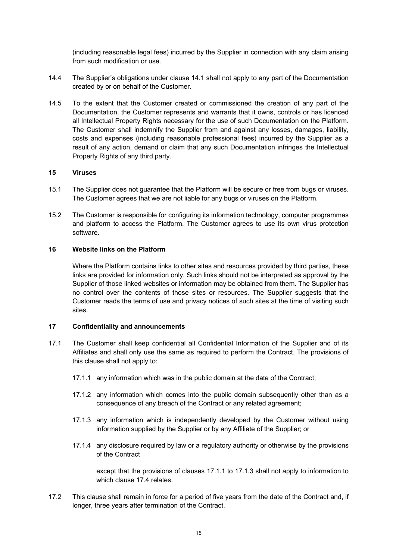(including reasonable legal fees) incurred by the Supplier in connection with any claim arising from such modification or use.

- 14.4 The Supplier's obligations under clause 14.1 shall not apply to any part of the Documentation created by or on behalf of the Customer.
- 14.5 To the extent that the Customer created or commissioned the creation of any part of the Documentation, the Customer represents and warrants that it owns, controls or has licenced all Intellectual Property Rights necessary for the use of such Documentation on the Platform. The Customer shall indemnify the Supplier from and against any losses, damages, liability, costs and expenses (including reasonable professional fees) incurred by the Supplier as a result of any action, demand or claim that any such Documentation infringes the Intellectual Property Rights of any third party.

### **15 Viruses**

- 15.1 The Supplier does not guarantee that the Platform will be secure or free from bugs or viruses. The Customer agrees that we are not liable for any bugs or viruses on the Platform.
- 15.2 The Customer is responsible for configuring its information technology, computer programmes and platform to access the Platform. The Customer agrees to use its own virus protection software.

### **16 Website links on the Platform**

Where the Platform contains links to other sites and resources provided by third parties, these links are provided for information only. Such links should not be interpreted as approval by the Supplier of those linked websites or information may be obtained from them. The Supplier has no control over the contents of those sites or resources. The Supplier suggests that the Customer reads the terms of use and privacy notices of such sites at the time of visiting such sites.

### **17 Confidentiality and announcements**

- 17.1 The Customer shall keep confidential all Confidential Information of the Supplier and of its Affiliates and shall only use the same as required to perform the Contract. The provisions of this clause shall not apply to:
	- 17.1.1 any information which was in the public domain at the date of the Contract;
	- 17.1.2 any information which comes into the public domain subsequently other than as a consequence of any breach of the Contract or any related agreement;
	- 17.1.3 any information which is independently developed by the Customer without using information supplied by the Supplier or by any Affiliate of the Supplier; or
	- 17.1.4 any disclosure required by law or a regulatory authority or otherwise by the provisions of the Contract

except that the provisions of clauses 17.1.1 to 17.1.3 shall not apply to information to which clause 17.4 relates.

17.2 This clause shall remain in force for a period of five years from the date of the Contract and, if longer, three years after termination of the Contract.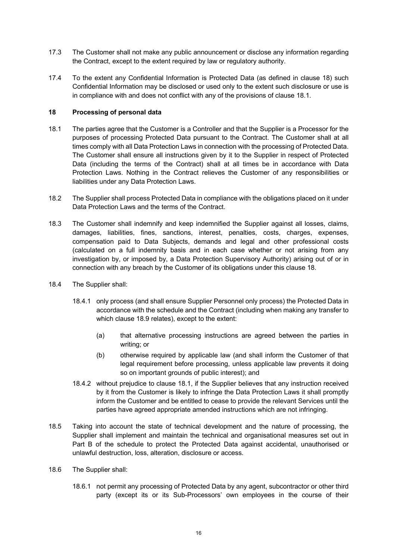- 17.3 The Customer shall not make any public announcement or disclose any information regarding the Contract, except to the extent required by law or regulatory authority.
- 17.4 To the extent any Confidential Information is Protected Data (as defined in clause 18) such Confidential Information may be disclosed or used only to the extent such disclosure or use is in compliance with and does not conflict with any of the provisions of clause 18.1.

# **18 Processing of personal data**

- 18.1 The parties agree that the Customer is a Controller and that the Supplier is a Processor for the purposes of processing Protected Data pursuant to the Contract. The Customer shall at all times comply with all Data Protection Laws in connection with the processing of Protected Data. The Customer shall ensure all instructions given by it to the Supplier in respect of Protected Data (including the terms of the Contract) shall at all times be in accordance with Data Protection Laws. Nothing in the Contract relieves the Customer of any responsibilities or liabilities under any Data Protection Laws.
- 18.2 The Supplier shall process Protected Data in compliance with the obligations placed on it under Data Protection Laws and the terms of the Contract.
- 18.3 The Customer shall indemnify and keep indemnified the Supplier against all losses, claims, damages, liabilities, fines, sanctions, interest, penalties, costs, charges, expenses, compensation paid to Data Subjects, demands and legal and other professional costs (calculated on a full indemnity basis and in each case whether or not arising from any investigation by, or imposed by, a Data Protection Supervisory Authority) arising out of or in connection with any breach by the Customer of its obligations under this clause 18.
- 18.4 The Supplier shall:
	- 18.4.1 only process (and shall ensure Supplier Personnel only process) the Protected Data in accordance with the schedule and the Contract (including when making any transfer to which clause 18.9 relates), except to the extent:
		- (a) that alternative processing instructions are agreed between the parties in writing; or
		- (b) otherwise required by applicable law (and shall inform the Customer of that legal requirement before processing, unless applicable law prevents it doing so on important grounds of public interest); and
	- 18.4.2 without prejudice to clause 18.1, if the Supplier believes that any instruction received by it from the Customer is likely to infringe the Data Protection Laws it shall promptly inform the Customer and be entitled to cease to provide the relevant Services until the parties have agreed appropriate amended instructions which are not infringing.
- 18.5 Taking into account the state of technical development and the nature of processing, the Supplier shall implement and maintain the technical and organisational measures set out in Part B of the schedule to protect the Protected Data against accidental, unauthorised or unlawful destruction, loss, alteration, disclosure or access.
- 18.6 The Supplier shall:
	- 18.6.1 not permit any processing of Protected Data by any agent, subcontractor or other third party (except its or its Sub-Processors' own employees in the course of their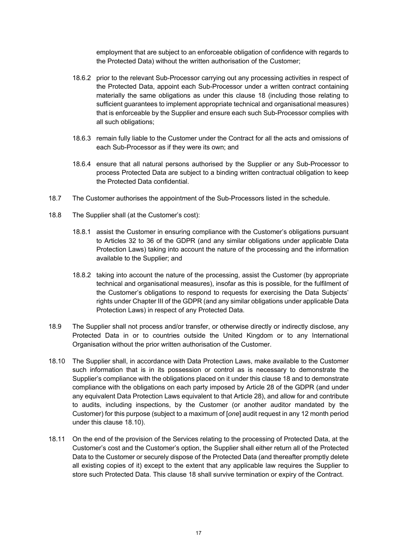employment that are subject to an enforceable obligation of confidence with regards to the Protected Data) without the written authorisation of the Customer;

- 18.6.2 prior to the relevant Sub-Processor carrying out any processing activities in respect of the Protected Data, appoint each Sub-Processor under a written contract containing materially the same obligations as under this clause 18 (including those relating to sufficient guarantees to implement appropriate technical and organisational measures) that is enforceable by the Supplier and ensure each such Sub-Processor complies with all such obligations;
- 18.6.3 remain fully liable to the Customer under the Contract for all the acts and omissions of each Sub-Processor as if they were its own; and
- 18.6.4 ensure that all natural persons authorised by the Supplier or any Sub-Processor to process Protected Data are subject to a binding written contractual obligation to keep the Protected Data confidential.
- 18.7 The Customer authorises the appointment of the Sub-Processors listed in the schedule.
- 18.8 The Supplier shall (at the Customer's cost):
	- 18.8.1 assist the Customer in ensuring compliance with the Customer's obligations pursuant to Articles 32 to 36 of the GDPR (and any similar obligations under applicable Data Protection Laws) taking into account the nature of the processing and the information available to the Supplier; and
	- 18.8.2 taking into account the nature of the processing, assist the Customer (by appropriate technical and organisational measures), insofar as this is possible, for the fulfilment of the Customer's obligations to respond to requests for exercising the Data Subjects' rights under Chapter III of the GDPR (and any similar obligations under applicable Data Protection Laws) in respect of any Protected Data.
- 18.9 The Supplier shall not process and/or transfer, or otherwise directly or indirectly disclose, any Protected Data in or to countries outside the United Kingdom or to any International Organisation without the prior written authorisation of the Customer.
- 18.10 The Supplier shall, in accordance with Data Protection Laws, make available to the Customer such information that is in its possession or control as is necessary to demonstrate the Supplier's compliance with the obligations placed on it under this clause 18 and to demonstrate compliance with the obligations on each party imposed by Article 28 of the GDPR (and under any equivalent Data Protection Laws equivalent to that Article 28), and allow for and contribute to audits, including inspections, by the Customer (or another auditor mandated by the Customer) for this purpose (subject to a maximum of [*one*] audit request in any 12 month period under this clause 18.10).
- 18.11 On the end of the provision of the Services relating to the processing of Protected Data, at the Customer's cost and the Customer's option, the Supplier shall either return all of the Protected Data to the Customer or securely dispose of the Protected Data (and thereafter promptly delete all existing copies of it) except to the extent that any applicable law requires the Supplier to store such Protected Data. This clause 18 shall survive termination or expiry of the Contract.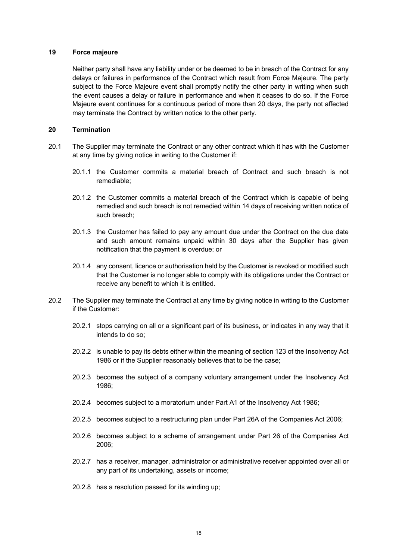#### **19 Force majeure**

Neither party shall have any liability under or be deemed to be in breach of the Contract for any delays or failures in performance of the Contract which result from Force Majeure. The party subject to the Force Majeure event shall promptly notify the other party in writing when such the event causes a delay or failure in performance and when it ceases to do so. If the Force Majeure event continues for a continuous period of more than 20 days, the party not affected may terminate the Contract by written notice to the other party.

#### **20 Termination**

- 20.1 The Supplier may terminate the Contract or any other contract which it has with the Customer at any time by giving notice in writing to the Customer if:
	- 20.1.1 the Customer commits a material breach of Contract and such breach is not remediable;
	- 20.1.2 the Customer commits a material breach of the Contract which is capable of being remedied and such breach is not remedied within 14 days of receiving written notice of such breach;
	- 20.1.3 the Customer has failed to pay any amount due under the Contract on the due date and such amount remains unpaid within 30 days after the Supplier has given notification that the payment is overdue; or
	- 20.1.4 any consent, licence or authorisation held by the Customer is revoked or modified such that the Customer is no longer able to comply with its obligations under the Contract or receive any benefit to which it is entitled.
- 20.2 The Supplier may terminate the Contract at any time by giving notice in writing to the Customer if the Customer:
	- 20.2.1 stops carrying on all or a significant part of its business, or indicates in any way that it intends to do so;
	- 20.2.2 is unable to pay its debts either within the meaning of section 123 of the Insolvency Act 1986 or if the Supplier reasonably believes that to be the case;
	- 20.2.3 becomes the subject of a company voluntary arrangement under the Insolvency Act 1986;
	- 20.2.4 becomes subject to a moratorium under Part A1 of the Insolvency Act 1986;
	- 20.2.5 becomes subject to a restructuring plan under Part 26A of the Companies Act 2006;
	- 20.2.6 becomes subject to a scheme of arrangement under Part 26 of the Companies Act 2006;
	- 20.2.7 has a receiver, manager, administrator or administrative receiver appointed over all or any part of its undertaking, assets or income;
	- 20.2.8 has a resolution passed for its winding up;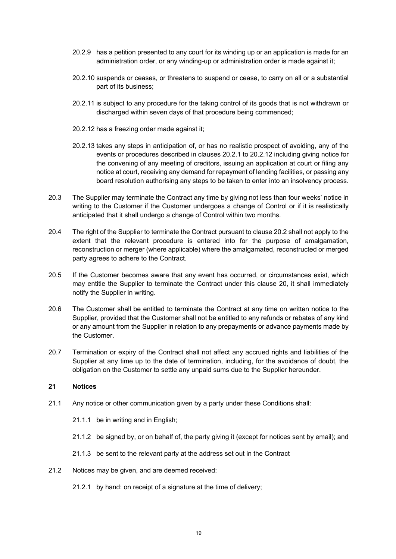- 20.2.9 has a petition presented to any court for its winding up or an application is made for an administration order, or any winding-up or administration order is made against it;
- 20.2.10 suspends or ceases, or threatens to suspend or cease, to carry on all or a substantial part of its business;
- 20.2.11 is subject to any procedure for the taking control of its goods that is not withdrawn or discharged within seven days of that procedure being commenced;
- 20.2.12 has a freezing order made against it;
- 20.2.13 takes any steps in anticipation of, or has no realistic prospect of avoiding, any of the events or procedures described in clauses 20.2.1 to 20.2.12 including giving notice for the convening of any meeting of creditors, issuing an application at court or filing any notice at court, receiving any demand for repayment of lending facilities, or passing any board resolution authorising any steps to be taken to enter into an insolvency process.
- 20.3 The Supplier may terminate the Contract any time by giving not less than four weeks' notice in writing to the Customer if the Customer undergoes a change of Control or if it is realistically anticipated that it shall undergo a change of Control within two months.
- 20.4 The right of the Supplier to terminate the Contract pursuant to clause 20.2 shall not apply to the extent that the relevant procedure is entered into for the purpose of amalgamation, reconstruction or merger (where applicable) where the amalgamated, reconstructed or merged party agrees to adhere to the Contract.
- 20.5 If the Customer becomes aware that any event has occurred, or circumstances exist, which may entitle the Supplier to terminate the Contract under this clause 20, it shall immediately notify the Supplier in writing.
- 20.6 The Customer shall be entitled to terminate the Contract at any time on written notice to the Supplier, provided that the Customer shall not be entitled to any refunds or rebates of any kind or any amount from the Supplier in relation to any prepayments or advance payments made by the Customer.
- 20.7 Termination or expiry of the Contract shall not affect any accrued rights and liabilities of the Supplier at any time up to the date of termination, including, for the avoidance of doubt, the obligation on the Customer to settle any unpaid sums due to the Supplier hereunder.

# **21 Notices**

- 21.1 Any notice or other communication given by a party under these Conditions shall:
	- 21.1.1 be in writing and in English;
	- 21.1.2 be signed by, or on behalf of, the party giving it (except for notices sent by email); and
	- 21.1.3 be sent to the relevant party at the address set out in the Contract
- 21.2 Notices may be given, and are deemed received:
	- 21.2.1 by hand: on receipt of a signature at the time of delivery;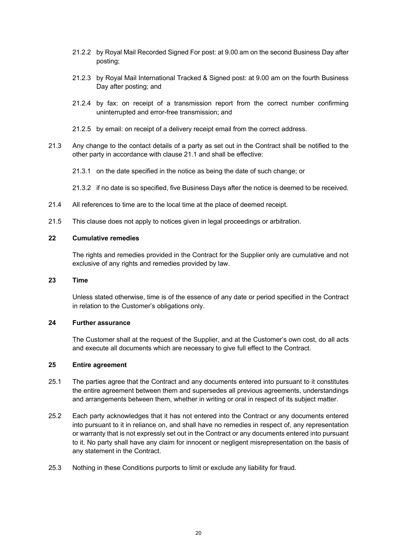- 21.2.2 by Royal Mail Recorded Signed For post: at 9.00 am on the second Business Day after posting;
- 21.2.3 by Royal Mail International Tracked & Signed post: at 9.00 am on the fourth Business Day after posting; and
- 21.2.4 by fax: on receipt of a transmission report from the correct number confirming uninterrupted and error-free transmission; and
- 21.2.5 by email: on receipt of a delivery receipt email from the correct address.
- 21.3 Any change to the contact details of a party as set out in the Contract shall be notified to the other party in accordance with clause 21.1 and shall be effective:
	- 21.3.1 on the date specified in the notice as being the date of such change; or
	- 21.3.2 if no date is so specified, five Business Days after the notice is deemed to be received.
- 21.4 All references to time are to the local time at the place of deemed receipt.
- 21.5 This clause does not apply to notices given in legal proceedings or arbitration.

# **22 Cumulative remedies**

The rights and remedies provided in the Contract for the Supplier only are cumulative and not exclusive of any rights and remedies provided by law.

# **23 Time**

Unless stated otherwise, time is of the essence of any date or period specified in the Contract in relation to the Customer's obligations only.

# **24 Further assurance**

The Customer shall at the request of the Supplier, and at the Customer's own cost, do all acts and execute all documents which are necessary to give full effect to the Contract.

# **25 Entire agreement**

- 25.1 The parties agree that the Contract and any documents entered into pursuant to it constitutes the entire agreement between them and supersedes all previous agreements, understandings and arrangements between them, whether in writing or oral in respect of its subject matter.
- 25.2 Each party acknowledges that it has not entered into the Contract or any documents entered into pursuant to it in reliance on, and shall have no remedies in respect of, any representation or warranty that is not expressly set out in the Contract or any documents entered into pursuant to it. No party shall have any claim for innocent or negligent misrepresentation on the basis of any statement in the Contract.
- 25.3 Nothing in these Conditions purports to limit or exclude any liability for fraud.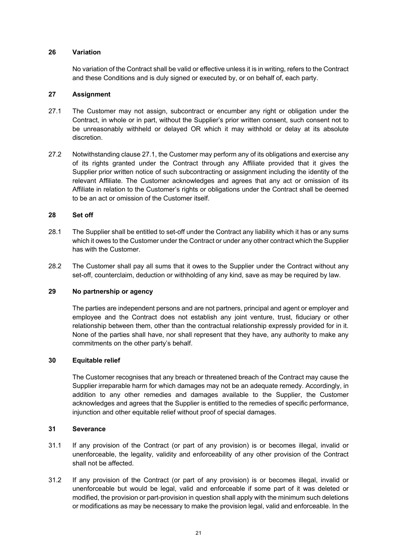### **26 Variation**

No variation of the Contract shall be valid or effective unless it is in writing, refers to the Contract and these Conditions and is duly signed or executed by, or on behalf of, each party.

### **27 Assignment**

- 27.1 The Customer may not assign, subcontract or encumber any right or obligation under the Contract, in whole or in part, without the Supplier's prior written consent, such consent not to be unreasonably withheld or delayed OR which it may withhold or delay at its absolute discretion.
- 27.2 Notwithstanding clause 27.1, the Customer may perform any of its obligations and exercise any of its rights granted under the Contract through any Affiliate provided that it gives the Supplier prior written notice of such subcontracting or assignment including the identity of the relevant Affiliate. The Customer acknowledges and agrees that any act or omission of its Affiliate in relation to the Customer's rights or obligations under the Contract shall be deemed to be an act or omission of the Customer itself.

### **28 Set off**

- 28.1 The Supplier shall be entitled to set-off under the Contract any liability which it has or any sums which it owes to the Customer under the Contract or under any other contract which the Supplier has with the Customer.
- 28.2 The Customer shall pay all sums that it owes to the Supplier under the Contract without any set-off, counterclaim, deduction or withholding of any kind, save as may be required by law.

### **29 No partnership or agency**

The parties are independent persons and are not partners, principal and agent or employer and employee and the Contract does not establish any joint venture, trust, fiduciary or other relationship between them, other than the contractual relationship expressly provided for in it. None of the parties shall have, nor shall represent that they have, any authority to make any commitments on the other party's behalf.

### **30 Equitable relief**

The Customer recognises that any breach or threatened breach of the Contract may cause the Supplier irreparable harm for which damages may not be an adequate remedy. Accordingly, in addition to any other remedies and damages available to the Supplier, the Customer acknowledges and agrees that the Supplier is entitled to the remedies of specific performance, injunction and other equitable relief without proof of special damages.

#### **31 Severance**

- 31.1 If any provision of the Contract (or part of any provision) is or becomes illegal, invalid or unenforceable, the legality, validity and enforceability of any other provision of the Contract shall not be affected.
- 31.2 If any provision of the Contract (or part of any provision) is or becomes illegal, invalid or unenforceable but would be legal, valid and enforceable if some part of it was deleted or modified, the provision or part-provision in question shall apply with the minimum such deletions or modifications as may be necessary to make the provision legal, valid and enforceable. In the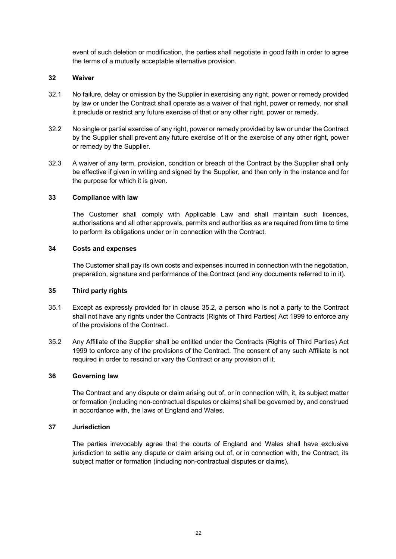event of such deletion or modification, the parties shall negotiate in good faith in order to agree the terms of a mutually acceptable alternative provision.

### **32 Waiver**

- 32.1 No failure, delay or omission by the Supplier in exercising any right, power or remedy provided by law or under the Contract shall operate as a waiver of that right, power or remedy, nor shall it preclude or restrict any future exercise of that or any other right, power or remedy.
- 32.2 No single or partial exercise of any right, power or remedy provided by law or under the Contract by the Supplier shall prevent any future exercise of it or the exercise of any other right, power or remedy by the Supplier.
- 32.3 A waiver of any term, provision, condition or breach of the Contract by the Supplier shall only be effective if given in writing and signed by the Supplier, and then only in the instance and for the purpose for which it is given.

### **33 Compliance with law**

The Customer shall comply with Applicable Law and shall maintain such licences, authorisations and all other approvals, permits and authorities as are required from time to time to perform its obligations under or in connection with the Contract.

### **34 Costs and expenses**

The Customer shall pay its own costs and expenses incurred in connection with the negotiation, preparation, signature and performance of the Contract (and any documents referred to in it).

#### **35 Third party rights**

- 35.1 Except as expressly provided for in clause 35.2, a person who is not a party to the Contract shall not have any rights under the Contracts (Rights of Third Parties) Act 1999 to enforce any of the provisions of the Contract.
- 35.2 Any Affiliate of the Supplier shall be entitled under the Contracts (Rights of Third Parties) Act 1999 to enforce any of the provisions of the Contract. The consent of any such Affiliate is not required in order to rescind or vary the Contract or any provision of it.

#### **36 Governing law**

The Contract and any dispute or claim arising out of, or in connection with, it, its subject matter or formation (including non-contractual disputes or claims) shall be governed by, and construed in accordance with, the laws of England and Wales.

### **37 Jurisdiction**

The parties irrevocably agree that the courts of England and Wales shall have exclusive jurisdiction to settle any dispute or claim arising out of, or in connection with, the Contract, its subject matter or formation (including non-contractual disputes or claims).